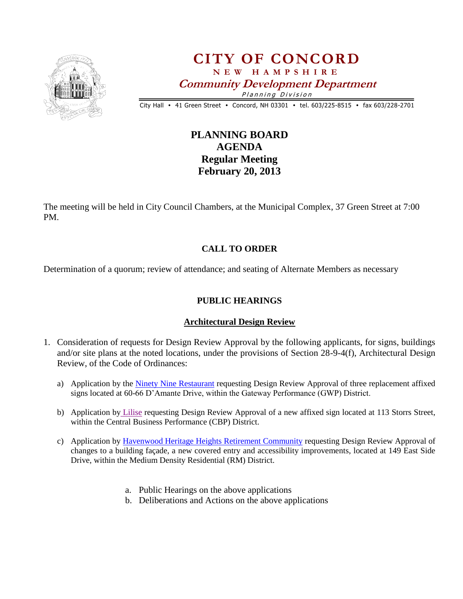

# **CITY OF CONCORD N E W H A M P S H I R E Community Development Department** Planning Division

City Hall • 41 Green Street • Concord, NH 03301 • tel. 603/225-8515 • fax 603/228-2701

## **PLANNING BOARD AGENDA Regular Meeting February 20, 2013**

The meeting will be held in City Council Chambers, at the Municipal Complex, 37 Green Street at 7:00 PM.

### **CALL TO ORDER**

Determination of a quorum; review of attendance; and seating of Alternate Members as necessary

### **PUBLIC HEARINGS**

#### **Architectural Design Review**

- 1. Consideration of requests for Design Review Approval by the following applicants, for signs, buildings and/or site plans at the noted locations, under the provisions of Section 28-9-4(f), Architectural Design Review, of the Code of Ordinances:
	- a) Application by the [Ninety Nine Restaurant](Ninety%20Nine%20Restaurant.pdf) requesting Design Review Approval of three replacement affixed signs located at 60-66 D'Amante Drive, within the Gateway Performance (GWP) District.
	- b) Application by [Lilise](Lilise.pdf) requesting Design Review Approval of a new affixed sign located at 113 Storrs Street, within the Central Business Performance (CBP) District.
	- c) Application by [Havenwood Heritage Heights Retirement Community](Havenwood%20Heritage%20Heights%20ADR.pdf) requesting Design Review Approval of changes to a building façade, a new covered entry and accessibility improvements, located at 149 East Side Drive, within the Medium Density Residential (RM) District.
		- a. Public Hearings on the above applications
		- b. Deliberations and Actions on the above applications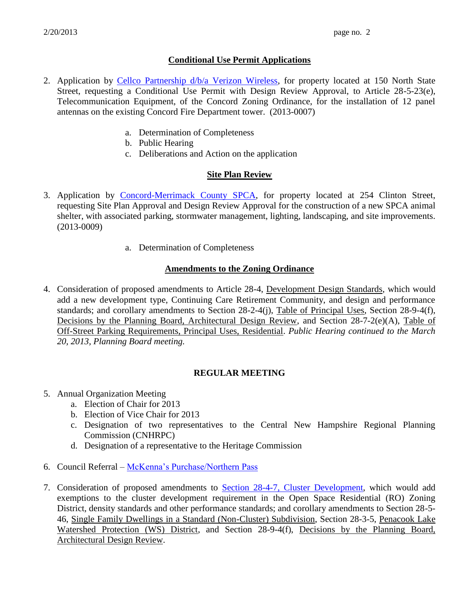#### **Conditional Use Permit Applications**

- 2. Application by [Cellco Partnership d/b/a Verizon Wireless,](Verizon%20Wireles.pdf) for property located at 150 North State Street, requesting a Conditional Use Permit with Design Review Approval, to Article 28-5-23(e), Telecommunication Equipment, of the Concord Zoning Ordinance, for the installation of 12 panel antennas on the existing Concord Fire Department tower. (2013-0007)
	- a. Determination of Completeness
	- b. Public Hearing
	- c. Deliberations and Action on the application

#### **Site Plan Review**

- 3. Application by [Concord-Merrimack County SPCA,](SPCA.pdf) for property located at 254 Clinton Street, requesting Site Plan Approval and Design Review Approval for the construction of a new SPCA animal shelter, with associated parking, stormwater management, lighting, landscaping, and site improvements. (2013-0009)
	- a. Determination of Completeness

#### **Amendments to the Zoning Ordinance**

4. Consideration of proposed amendments to Article 28-4, Development Design Standards, which would add a new development type, Continuing Care Retirement Community, and design and performance standards; and corollary amendments to Section 28-2-4(j), Table of Principal Uses, Section 28-9-4(f), Decisions by the Planning Board, Architectural Design Review, and Section 28-7-2(e)(A), Table of Off-Street Parking Requirements, Principal Uses, Residential. *Public Hearing continued to the March 20, 2013, Planning Board meeting.*

#### **REGULAR MEETING**

- 5. Annual Organization Meeting
	- a. Election of Chair for 2013
	- b. Election of Vice Chair for 2013
	- c. Designation of two representatives to the Central New Hampshire Regional Planning Commission (CNHRPC)
	- d. Designation of a representative to the Heritage Commission
- 6. Council Referral [McKenna's Purchase/Northern Pass](McKenna)
- 7. Consideration of proposed amendments to [Section 28-4-7, Cluster Development,](OSRD%20Zoning%20proposed%20changes%20summary%20report.pdf) which would add exemptions to the cluster development requirement in the Open Space Residential (RO) Zoning District, density standards and other performance standards; and corollary amendments to Section 28-5- 46, Single Family Dwellings in a Standard (Non-Cluster) Subdivision, Section 28-3-5, Penacook Lake Watershed Protection (WS) District, and Section 28-9-4(f), Decisions by the Planning Board, Architectural Design Review.